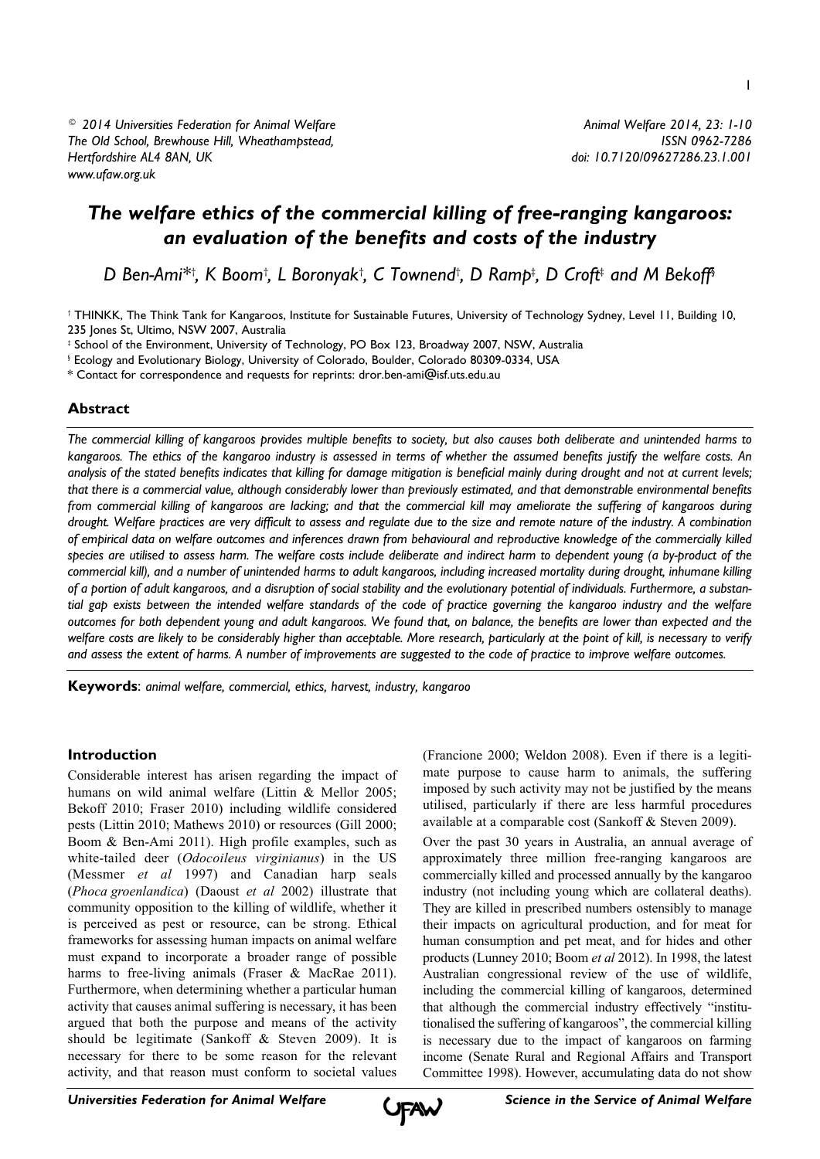1

# *The welfare ethics of the commercial killing of free-ranging kangaroos: an evaluation of the benefits and costs of the industry*

*D Ben-Ami\*† , K Boom† , L Boronyak† , C Townend† , D Ramp‡ , D Croft‡ and M Bekoff§*

- † THINKK, The Think Tank for Kangaroos, Institute for Sustainable Futures, University of Technology Sydney, Level 11, Building 10, 235 Jones St, Ultimo, NSW 2007, Australia
- ‡ School of the Environment, University of Technology, PO Box 123, Broadway 2007, NSW, Australia
- § Ecology and Evolutionary Biology, University of Colorado, Boulder, Colorado 80309-0334, USA

\* Contact for correspondence and requests for reprints: dror.ben-ami@isf.uts.edu.au

#### **Abstract**

*The commercial killing of kangaroos provides multiple benefits to society, but also causes both deliberate and unintended harms to kangaroos. The ethics of the kangaroo industry is assessed in terms of whether the assumed benefits justify the welfare costs. An analysis of the stated benefits indicates that killing for damage mitigation is beneficial mainly during drought and not at current levels; that there is a commercial value, although considerably lower than previously estimated, and that demonstrable environmental benefits from commercial killing of kangaroos are lacking; and that the commercial kill may ameliorate the suffering of kangaroos during drought. Welfare practices are very difficult to assess and regulate due to the size and remote nature of the industry. A combination of empirical data on welfare outcomes and inferences drawn from behavioural and reproductive knowledge of the commercially killed species are utilised to assess harm. The welfare costs include deliberate and indirect harm to dependent young (a by-product of the commercial kill), and a number of unintended harms to adult kangaroos, including increased mortality during drought, inhumane killing of a portion of adult kangaroos, and a disruption of social stability and the evolutionary potential of individuals. Furthermore, a substantial gap exists between the intended welfare standards of the code of practice governing the kangaroo industry and the welfare outcomes for both dependent young and adult kangaroos. We found that, on balance, the benefits are lower than expected and the welfare costs are likely to be considerably higher than acceptable. More research, particularly at the point of kill, is necessary to verify and assess the extent of harms. A number of improvements are suggested to the code of practice to improve welfare outcomes.*

**Keywords**: *animal welfare, commercial, ethics, harvest, industry, kangaroo*

#### **Introduction**

Considerable interest has arisen regarding the impact of humans on wild animal welfare (Littin & Mellor 2005; Bekoff 2010; Fraser 2010) including wildlife considered pests (Littin 2010; Mathews 2010) or resources (Gill 2000; Boom & Ben-Ami 2011). High profile examples, such as white-tailed deer (*Odocoileus virginianus*) in the US (Messmer *et al* 1997) and Canadian harp seals (*Phoca groenlandica*) (Daoust *et al* 2002) illustrate that community opposition to the killing of wildlife, whether it is perceived as pest or resource, can be strong. Ethical frameworks for assessing human impacts on animal welfare must expand to incorporate a broader range of possible harms to free-living animals (Fraser & MacRae 2011). Furthermore, when determining whether a particular human activity that causes animal suffering is necessary, it has been argued that both the purpose and means of the activity should be legitimate (Sankoff & Steven 2009). It is necessary for there to be some reason for the relevant activity, and that reason must conform to societal values (Francione 2000; Weldon 2008). Even if there is a legitimate purpose to cause harm to animals, the suffering imposed by such activity may not be justified by the means utilised, particularly if there are less harmful procedures available at a comparable cost (Sankoff & Steven 2009).

Over the past 30 years in Australia, an annual average of approximately three million free-ranging kangaroos are commercially killed and processed annually by the kangaroo industry (not including young which are collateral deaths). They are killed in prescribed numbers ostensibly to manage their impacts on agricultural production, and for meat for human consumption and pet meat, and for hides and other products (Lunney 2010; Boom *et al* 2012). In 1998, the latest Australian congressional review of the use of wildlife, including the commercial killing of kangaroos, determined that although the commercial industry effectively "institutionalised the suffering of kangaroos", the commercial killing is necessary due to the impact of kangaroos on farming income (Senate Rural and Regional Affairs and Transport Committee 1998). However, accumulating data do not show

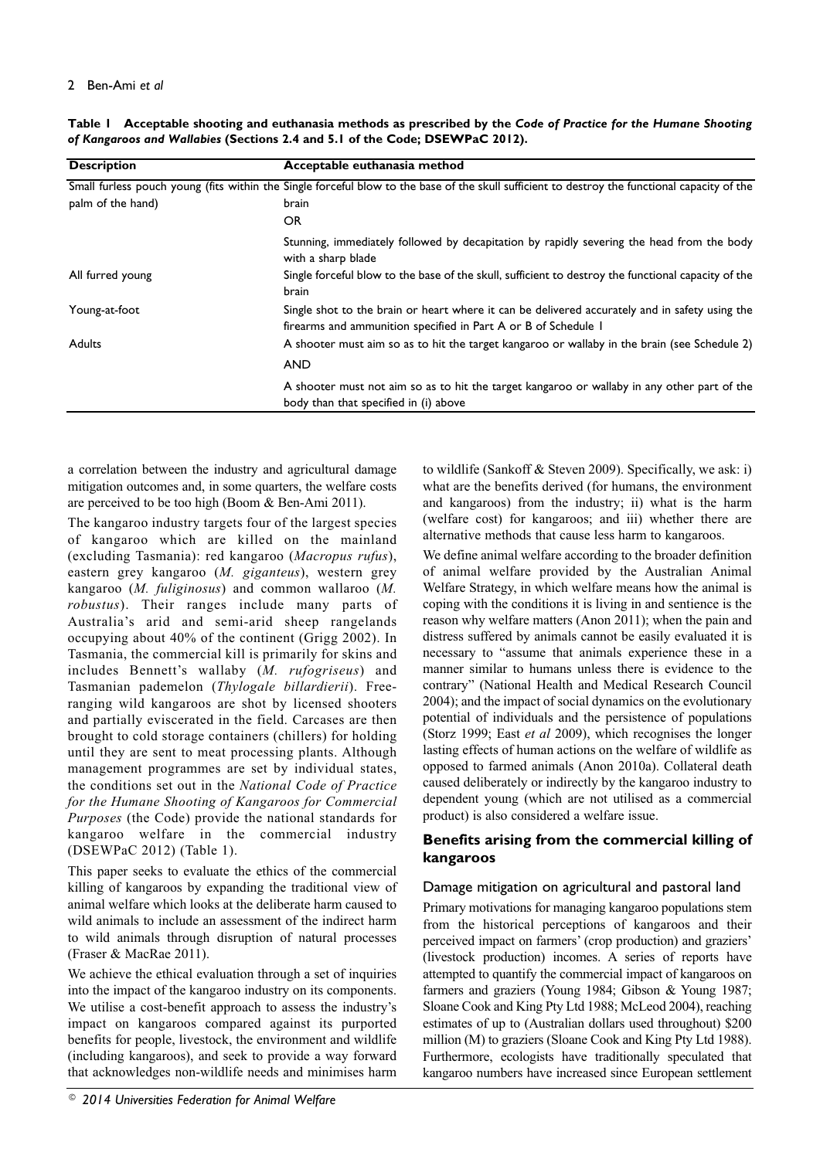| <b>Description</b> | Acceptable euthanasia method                                                                                                                                     |  |  |  |  |
|--------------------|------------------------------------------------------------------------------------------------------------------------------------------------------------------|--|--|--|--|
|                    | Small furless pouch young (fits within the Single forceful blow to the base of the skull sufficient to destroy the functional capacity of the                    |  |  |  |  |
| palm of the hand)  | brain                                                                                                                                                            |  |  |  |  |
|                    | OR.                                                                                                                                                              |  |  |  |  |
|                    | Stunning, immediately followed by decapitation by rapidly severing the head from the body<br>with a sharp blade                                                  |  |  |  |  |
| All furred young   | Single forceful blow to the base of the skull, sufficient to destroy the functional capacity of the<br>brain                                                     |  |  |  |  |
| Young-at-foot      | Single shot to the brain or heart where it can be delivered accurately and in safety using the<br>firearms and ammunition specified in Part A or B of Schedule 1 |  |  |  |  |
| <b>Adults</b>      | A shooter must aim so as to hit the target kangaroo or wallaby in the brain (see Schedule 2)                                                                     |  |  |  |  |
|                    | <b>AND</b>                                                                                                                                                       |  |  |  |  |
|                    | A shooter must not aim so as to hit the target kangaroo or wallaby in any other part of the<br>body than that specified in (i) above                             |  |  |  |  |

**Table 1 Acceptable shooting and euthanasia methods as prescribed by the** *Code of Practice for the Humane Shooting of Kangaroos and Wallabies* **(Sections 2.4 and 5.1 of the Code; DSEWPaC 2012).** 

a correlation between the industry and agricultural damage mitigation outcomes and, in some quarters, the welfare costs are perceived to be too high (Boom & Ben-Ami 2011).

The kangaroo industry targets four of the largest species of kangaroo which are killed on the mainland (excluding Tasmania): red kangaroo (*Macropus rufus*), eastern grey kangaroo (*M. giganteus*), western grey kangaroo (*M. fuliginosus*) and common wallaroo (*M. robustus*). Their ranges include many parts of Australia's arid and semi-arid sheep rangelands occupying about 40% of the continent (Grigg 2002). In Tasmania, the commercial kill is primarily for skins and includes Bennett's wallaby (*M. rufogriseus*) and Tasmanian pademelon (*Thylogale billardierii*). Freeranging wild kangaroos are shot by licensed shooters and partially eviscerated in the field. Carcases are then brought to cold storage containers (chillers) for holding until they are sent to meat processing plants. Although management programmes are set by individual states, the conditions set out in the *National Code of Practice for the Humane Shooting of Kangaroos for Commercial Purposes* (the Code) provide the national standards for kangaroo welfare in the commercial industry (DSEWPaC 2012) (Table 1).

This paper seeks to evaluate the ethics of the commercial killing of kangaroos by expanding the traditional view of animal welfare which looks at the deliberate harm caused to wild animals to include an assessment of the indirect harm to wild animals through disruption of natural processes (Fraser & MacRae 2011).

We achieve the ethical evaluation through a set of inquiries into the impact of the kangaroo industry on its components. We utilise a cost-benefit approach to assess the industry's impact on kangaroos compared against its purported benefits for people, livestock, the environment and wildlife (including kangaroos), and seek to provide a way forward that acknowledges non-wildlife needs and minimises harm

to wildlife (Sankoff & Steven 2009). Specifically, we ask: i) what are the benefits derived (for humans, the environment and kangaroos) from the industry; ii) what is the harm (welfare cost) for kangaroos; and iii) whether there are alternative methods that cause less harm to kangaroos.

We define animal welfare according to the broader definition of animal welfare provided by the Australian Animal Welfare Strategy, in which welfare means how the animal is coping with the conditions it is living in and sentience is the reason why welfare matters (Anon 2011); when the pain and distress suffered by animals cannot be easily evaluated it is necessary to "assume that animals experience these in a manner similar to humans unless there is evidence to the contrary" (National Health and Medical Research Council 2004); and the impact of social dynamics on the evolutionary potential of individuals and the persistence of populations (Storz 1999; East *et al* 2009), which recognises the longer lasting effects of human actions on the welfare of wildlife as opposed to farmed animals (Anon 2010a). Collateral death caused deliberately or indirectly by the kangaroo industry to dependent young (which are not utilised as a commercial product) is also considered a welfare issue.

# **Benefits arising from the commercial killing of kangaroos**

# Damage mitigation on agricultural and pastoral land

Primary motivations for managing kangaroo populations stem from the historical perceptions of kangaroos and their perceived impact on farmers' (crop production) and graziers' (livestock production) incomes. A series of reports have attempted to quantify the commercial impact of kangaroos on farmers and graziers (Young 1984; Gibson & Young 1987; Sloane Cook and King Pty Ltd 1988; McLeod 2004), reaching estimates of up to (Australian dollars used throughout) \$200 million (M) to graziers (Sloane Cook and King Pty Ltd 1988). Furthermore, ecologists have traditionally speculated that kangaroo numbers have increased since European settlement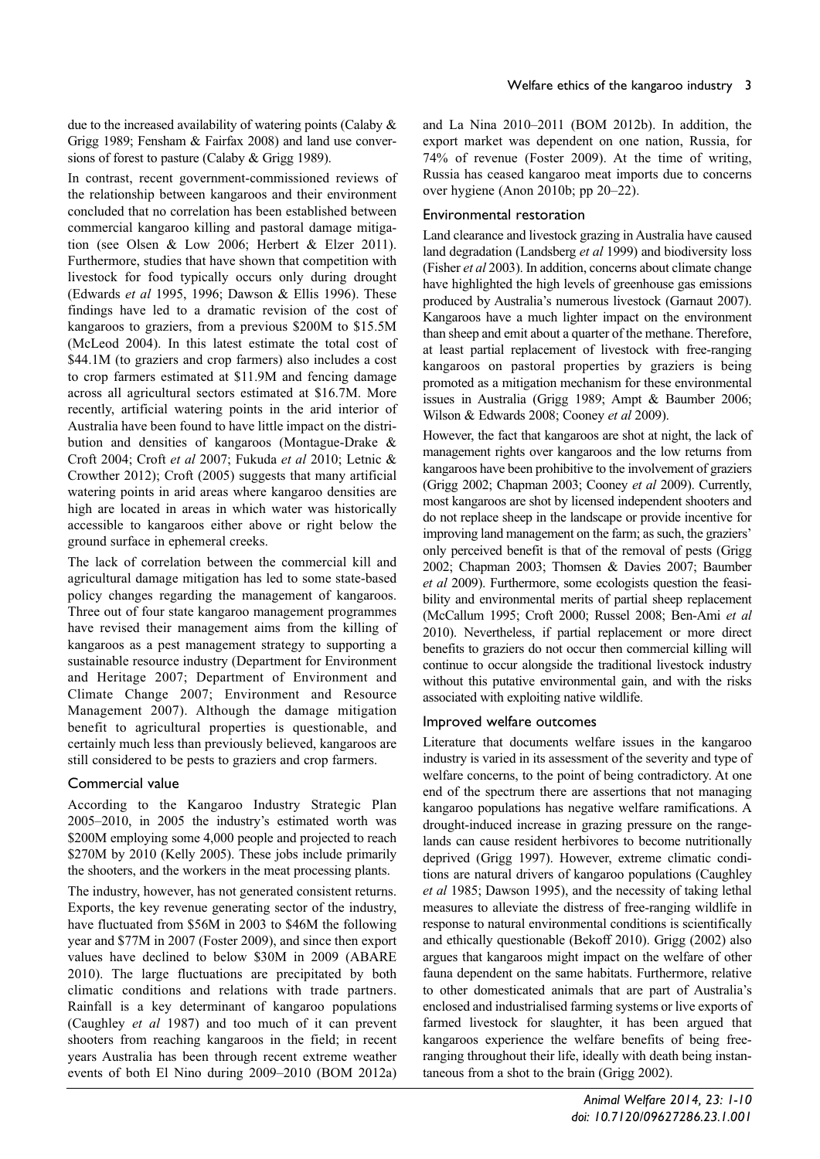due to the increased availability of watering points (Calaby & Grigg 1989; Fensham & Fairfax 2008) and land use conversions of forest to pasture (Calaby & Grigg 1989).

In contrast, recent government-commissioned reviews of the relationship between kangaroos and their environment concluded that no correlation has been established between commercial kangaroo killing and pastoral damage mitigation (see Olsen & Low 2006; Herbert & Elzer 2011). Furthermore, studies that have shown that competition with livestock for food typically occurs only during drought (Edwards *et al* 1995, 1996; Dawson & Ellis 1996). These findings have led to a dramatic revision of the cost of kangaroos to graziers, from a previous \$200M to \$15.5M (McLeod 2004). In this latest estimate the total cost of \$44.1M (to graziers and crop farmers) also includes a cost to crop farmers estimated at \$11.9M and fencing damage across all agricultural sectors estimated at \$16.7M. More recently, artificial watering points in the arid interior of Australia have been found to have little impact on the distribution and densities of kangaroos (Montague-Drake & Croft 2004; Croft *et al* 2007; Fukuda *et al* 2010; Letnic & Crowther 2012); Croft (2005) suggests that many artificial watering points in arid areas where kangaroo densities are high are located in areas in which water was historically accessible to kangaroos either above or right below the ground surface in ephemeral creeks.

The lack of correlation between the commercial kill and agricultural damage mitigation has led to some state-based policy changes regarding the management of kangaroos. Three out of four state kangaroo management programmes have revised their management aims from the killing of kangaroos as a pest management strategy to supporting a sustainable resource industry (Department for Environment and Heritage 2007; Department of Environment and Climate Change 2007; Environment and Resource Management 2007). Although the damage mitigation benefit to agricultural properties is questionable, and certainly much less than previously believed, kangaroos are still considered to be pests to graziers and crop farmers.

#### Commercial value

According to the Kangaroo Industry Strategic Plan 2005–2010, in 2005 the industry's estimated worth was \$200M employing some 4,000 people and projected to reach \$270M by 2010 (Kelly 2005). These jobs include primarily the shooters, and the workers in the meat processing plants.

The industry, however, has not generated consistent returns. Exports, the key revenue generating sector of the industry, have fluctuated from \$56M in 2003 to \$46M the following year and \$77M in 2007 (Foster 2009), and since then export values have declined to below \$30M in 2009 (ABARE 2010). The large fluctuations are precipitated by both climatic conditions and relations with trade partners. Rainfall is a key determinant of kangaroo populations (Caughley *et al* 1987) and too much of it can prevent shooters from reaching kangaroos in the field; in recent years Australia has been through recent extreme weather events of both El Nino during 2009–2010 (BOM 2012a)

and La Nina 2010–2011 (BOM 2012b). In addition, the export market was dependent on one nation, Russia, for 74% of revenue (Foster 2009). At the time of writing, Russia has ceased kangaroo meat imports due to concerns over hygiene (Anon 2010b; pp 20–22).

### Environmental restoration

Land clearance and livestock grazing in Australia have caused land degradation (Landsberg *et al* 1999) and biodiversity loss (Fisher *et al* 2003). In addition, concerns about climate change have highlighted the high levels of greenhouse gas emissions produced by Australia's numerous livestock (Garnaut 2007). Kangaroos have a much lighter impact on the environment than sheep and emit about a quarter of the methane. Therefore, at least partial replacement of livestock with free-ranging kangaroos on pastoral properties by graziers is being promoted as a mitigation mechanism for these environmental issues in Australia (Grigg 1989; Ampt & Baumber 2006; Wilson & Edwards 2008; Cooney *et al* 2009).

However, the fact that kangaroos are shot at night, the lack of management rights over kangaroos and the low returns from kangaroos have been prohibitive to the involvement of graziers (Grigg 2002; Chapman 2003; Cooney *et al* 2009). Currently, most kangaroos are shot by licensed independent shooters and do not replace sheep in the landscape or provide incentive for improving land management on the farm; as such, the graziers' only perceived benefit is that of the removal of pests (Grigg 2002; Chapman 2003; Thomsen & Davies 2007; Baumber *et al* 2009). Furthermore, some ecologists question the feasibility and environmental merits of partial sheep replacement (McCallum 1995; Croft 2000; Russel 2008; Ben-Ami *et al* 2010). Nevertheless, if partial replacement or more direct benefits to graziers do not occur then commercial killing will continue to occur alongside the traditional livestock industry without this putative environmental gain, and with the risks associated with exploiting native wildlife.

# Improved welfare outcomes

Literature that documents welfare issues in the kangaroo industry is varied in its assessment of the severity and type of welfare concerns, to the point of being contradictory. At one end of the spectrum there are assertions that not managing kangaroo populations has negative welfare ramifications. A drought-induced increase in grazing pressure on the rangelands can cause resident herbivores to become nutritionally deprived (Grigg 1997). However, extreme climatic conditions are natural drivers of kangaroo populations (Caughley *et al* 1985; Dawson 1995), and the necessity of taking lethal measures to alleviate the distress of free-ranging wildlife in response to natural environmental conditions is scientifically and ethically questionable (Bekoff 2010). Grigg (2002) also argues that kangaroos might impact on the welfare of other fauna dependent on the same habitats. Furthermore, relative to other domesticated animals that are part of Australia's enclosed and industrialised farming systems or live exports of farmed livestock for slaughter, it has been argued that kangaroos experience the welfare benefits of being freeranging throughout their life, ideally with death being instantaneous from a shot to the brain (Grigg 2002).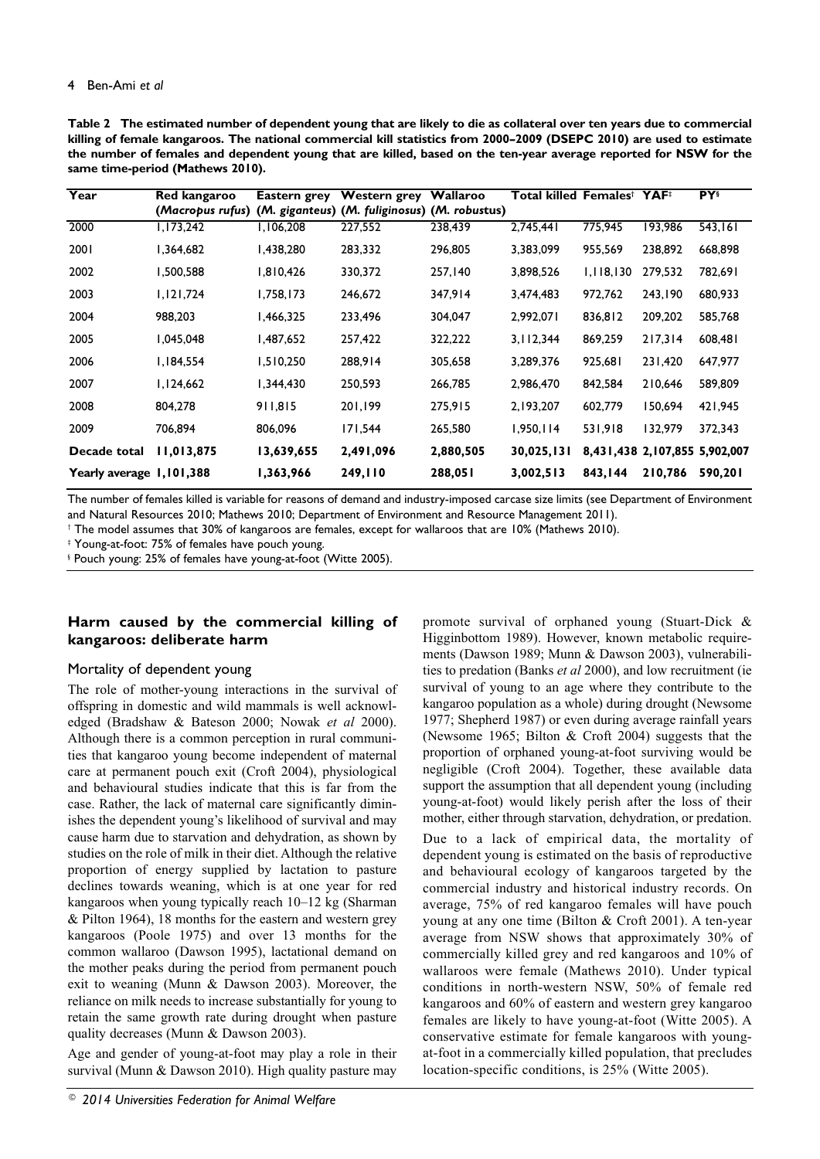| Year                     | Red kangaroo     | Eastern grey | Western grey                    | Wallaroo      | Total killed Females† YAF‡ |           |                               | <b>PY</b> <sup>§</sup> |
|--------------------------|------------------|--------------|---------------------------------|---------------|----------------------------|-----------|-------------------------------|------------------------|
|                          | (Macropus rufus) |              | (M. giganteus) (M. fuliginosus) | (M. robustus) |                            |           |                               |                        |
| 2000                     | I, I73,242       | 1,106,208    | 227,552                         | 238,439       | 2,745,441                  | 775,945   | 193,986                       | 543,161                |
| 2001                     | 1,364,682        | 1,438,280    | 283,332                         | 296,805       | 3,383,099                  | 955,569   | 238,892                       | 668,898                |
| 2002                     | 1,500,588        | 1,810,426    | 330,372                         | 257,140       | 3,898,526                  | 1,118,130 | 279.532                       | 782,691                |
| 2003                     | 1,121,724        | 1,758,173    | 246,672                         | 347,914       | 3,474,483                  | 972,762   | 243,190                       | 680,933                |
| 2004                     | 988,203          | 1,466,325    | 233,496                         | 304,047       | 2,992,071                  | 836,812   | 209,202                       | 585,768                |
| 2005                     | 1,045,048        | 1,487,652    | 257,422                         | 322,222       | 3,112,344                  | 869,259   | 217,314                       | 608,481                |
| 2006                     | I, 184, 554      | 1,510,250    | 288,914                         | 305,658       | 3,289,376                  | 925,681   | 231,420                       | 647,977                |
| 2007                     | 1,124,662        | 344,430. ا   | 250,593                         | 266,785       | 2,986,470                  | 842,584   | 210,646                       | 589,809                |
| 2008                     | 804,278          | 911.815      | 201,199                         | 275,915       | 2,193,207                  | 602,779   | 150,694                       | 421,945                |
| 2009                     | 706.894          | 806,096      | 171,544                         | 265,580       | 1,950,114                  | 531,918   | 132,979                       | 372,343                |
| Decade total             | 11,013,875       | 13,639,655   | 2,491,096                       | 2,880,505     | 30,025,131                 |           | 8,431,438 2,107,855 5,902,007 |                        |
| Yearly average 1,101,388 |                  | 1,363,966    | 249,110                         | 288,051       | 3,002,513                  | 843,144   | 210,786                       | 590,201                |

**Table 2 The estimated number of dependent young that are likely to die as collateral over ten years due to commercial killing of female kangaroos. The national commercial kill statistics from 2000–2009 (DSEPC 2010) are used to estimate the number of females and dependent young that are killed, based on the ten-year average reported for NSW for the same time-period (Mathews 2010).** 

The number of females killed is variable for reasons of demand and industry-imposed carcase size limits (see Department of Environment and Natural Resources 2010; Mathews 2010; Department of Environment and Resource Management 2011).

† The model assumes that 30% of kangaroos are females, except for wallaroos that are 10% (Mathews 2010).

‡ Young-at-foot: 75% of females have pouch young.

§ Pouch young: 25% of females have young-at-foot (Witte 2005).

# **Harm caused by the commercial killing of kangaroos: deliberate harm**

# Mortality of dependent young

The role of mother-young interactions in the survival of offspring in domestic and wild mammals is well acknowledged (Bradshaw & Bateson 2000; Nowak *et al* 2000). Although there is a common perception in rural communities that kangaroo young become independent of maternal care at permanent pouch exit (Croft 2004), physiological and behavioural studies indicate that this is far from the case. Rather, the lack of maternal care significantly diminishes the dependent young's likelihood of survival and may cause harm due to starvation and dehydration, as shown by studies on the role of milk in their diet. Although the relative proportion of energy supplied by lactation to pasture declines towards weaning, which is at one year for red kangaroos when young typically reach 10–12 kg (Sharman & Pilton 1964), 18 months for the eastern and western grey kangaroos (Poole 1975) and over 13 months for the common wallaroo (Dawson 1995), lactational demand on the mother peaks during the period from permanent pouch exit to weaning (Munn & Dawson 2003). Moreover, the reliance on milk needs to increase substantially for young to retain the same growth rate during drought when pasture quality decreases (Munn & Dawson 2003).

Age and gender of young-at-foot may play a role in their survival (Munn & Dawson 2010). High quality pasture may

promote survival of orphaned young (Stuart-Dick & Higginbottom 1989). However, known metabolic requirements (Dawson 1989; Munn & Dawson 2003), vulnerabilities to predation (Banks *et al* 2000), and low recruitment (ie survival of young to an age where they contribute to the kangaroo population as a whole) during drought (Newsome 1977; Shepherd 1987) or even during average rainfall years (Newsome 1965; Bilton & Croft 2004) suggests that the proportion of orphaned young-at-foot surviving would be negligible (Croft 2004). Together, these available data support the assumption that all dependent young (including young-at-foot) would likely perish after the loss of their mother, either through starvation, dehydration, or predation.

Due to a lack of empirical data, the mortality of dependent young is estimated on the basis of reproductive and behavioural ecology of kangaroos targeted by the commercial industry and historical industry records. On average, 75% of red kangaroo females will have pouch young at any one time (Bilton & Croft 2001). A ten-year average from NSW shows that approximately 30% of commercially killed grey and red kangaroos and 10% of wallaroos were female (Mathews 2010). Under typical conditions in north-western NSW, 50% of female red kangaroos and 60% of eastern and western grey kangaroo females are likely to have young-at-foot (Witte 2005). A conservative estimate for female kangaroos with youngat-foot in a commercially killed population, that precludes location-specific conditions, is 25% (Witte 2005).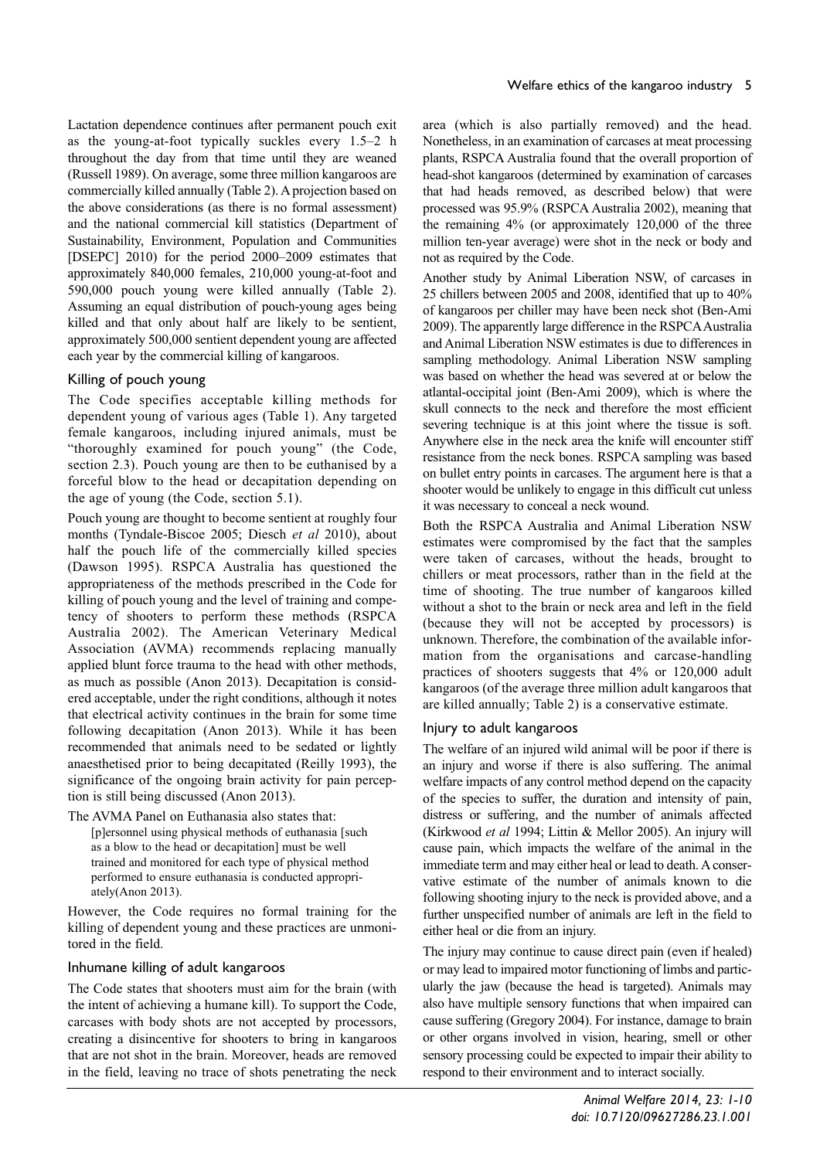Lactation dependence continues after permanent pouch exit as the young-at-foot typically suckles every 1.5–2 h throughout the day from that time until they are weaned (Russell 1989). On average, some three million kangaroos are commercially killed annually (Table 2). A projection based on the above considerations (as there is no formal assessment) and the national commercial kill statistics (Department of Sustainability, Environment, Population and Communities [DSEPC] 2010) for the period 2000–2009 estimates that approximately 840,000 females, 210,000 young-at-foot and 590,000 pouch young were killed annually (Table 2). Assuming an equal distribution of pouch-young ages being killed and that only about half are likely to be sentient, approximately 500,000 sentient dependent young are affected each year by the commercial killing of kangaroos.

#### Killing of pouch young

The Code specifies acceptable killing methods for dependent young of various ages (Table 1). Any targeted female kangaroos, including injured animals, must be "thoroughly examined for pouch young" (the Code, section 2.3). Pouch young are then to be euthanised by a forceful blow to the head or decapitation depending on the age of young (the Code, section 5.1).

Pouch young are thought to become sentient at roughly four months (Tyndale-Biscoe 2005; Diesch *et al* 2010), about half the pouch life of the commercially killed species (Dawson 1995). RSPCA Australia has questioned the appropriateness of the methods prescribed in the Code for killing of pouch young and the level of training and competency of shooters to perform these methods (RSPCA Australia 2002). The American Veterinary Medical Association (AVMA) recommends replacing manually applied blunt force trauma to the head with other methods, as much as possible (Anon 2013). Decapitation is considered acceptable, under the right conditions, although it notes that electrical activity continues in the brain for some time following decapitation (Anon 2013). While it has been recommended that animals need to be sedated or lightly anaesthetised prior to being decapitated (Reilly 1993), the significance of the ongoing brain activity for pain perception is still being discussed (Anon 2013).

The AVMA Panel on Euthanasia also states that: [p]ersonnel using physical methods of euthanasia [such as a blow to the head or decapitation] must be well trained and monitored for each type of physical method performed to ensure euthanasia is conducted appropriately(Anon 2013).

However, the Code requires no formal training for the killing of dependent young and these practices are unmonitored in the field.

#### Inhumane killing of adult kangaroos

The Code states that shooters must aim for the brain (with the intent of achieving a humane kill). To support the Code, carcases with body shots are not accepted by processors, creating a disincentive for shooters to bring in kangaroos that are not shot in the brain. Moreover, heads are removed in the field, leaving no trace of shots penetrating the neck

area (which is also partially removed) and the head. Nonetheless, in an examination of carcases at meat processing plants, RSPCA Australia found that the overall proportion of head-shot kangaroos (determined by examination of carcases that had heads removed, as described below) that were processed was 95.9% (RSPCA Australia 2002), meaning that the remaining 4% (or approximately 120,000 of the three million ten-year average) were shot in the neck or body and not as required by the Code.

Another study by Animal Liberation NSW, of carcases in 25 chillers between 2005 and 2008, identified that up to 40% of kangaroos per chiller may have been neck shot (Ben-Ami 2009). The apparently large difference in the RSPCA Australia and Animal Liberation NSW estimates is due to differences in sampling methodology. Animal Liberation NSW sampling was based on whether the head was severed at or below the atlantal-occipital joint (Ben-Ami 2009), which is where the skull connects to the neck and therefore the most efficient severing technique is at this joint where the tissue is soft. Anywhere else in the neck area the knife will encounter stiff resistance from the neck bones. RSPCA sampling was based on bullet entry points in carcases. The argument here is that a shooter would be unlikely to engage in this difficult cut unless it was necessary to conceal a neck wound.

Both the RSPCA Australia and Animal Liberation NSW estimates were compromised by the fact that the samples were taken of carcases, without the heads, brought to chillers or meat processors, rather than in the field at the time of shooting. The true number of kangaroos killed without a shot to the brain or neck area and left in the field (because they will not be accepted by processors) is unknown. Therefore, the combination of the available information from the organisations and carcase-handling practices of shooters suggests that 4% or 120,000 adult kangaroos (of the average three million adult kangaroos that are killed annually; Table 2) is a conservative estimate.

#### Injury to adult kangaroos

The welfare of an injured wild animal will be poor if there is an injury and worse if there is also suffering. The animal welfare impacts of any control method depend on the capacity of the species to suffer, the duration and intensity of pain, distress or suffering, and the number of animals affected (Kirkwood *et al* 1994; Littin & Mellor 2005). An injury will cause pain, which impacts the welfare of the animal in the immediate term and may either heal or lead to death. A conservative estimate of the number of animals known to die following shooting injury to the neck is provided above, and a further unspecified number of animals are left in the field to either heal or die from an injury.

The injury may continue to cause direct pain (even if healed) or may lead to impaired motor functioning of limbs and particularly the jaw (because the head is targeted). Animals may also have multiple sensory functions that when impaired can cause suffering (Gregory 2004). For instance, damage to brain or other organs involved in vision, hearing, smell or other sensory processing could be expected to impair their ability to respond to their environment and to interact socially.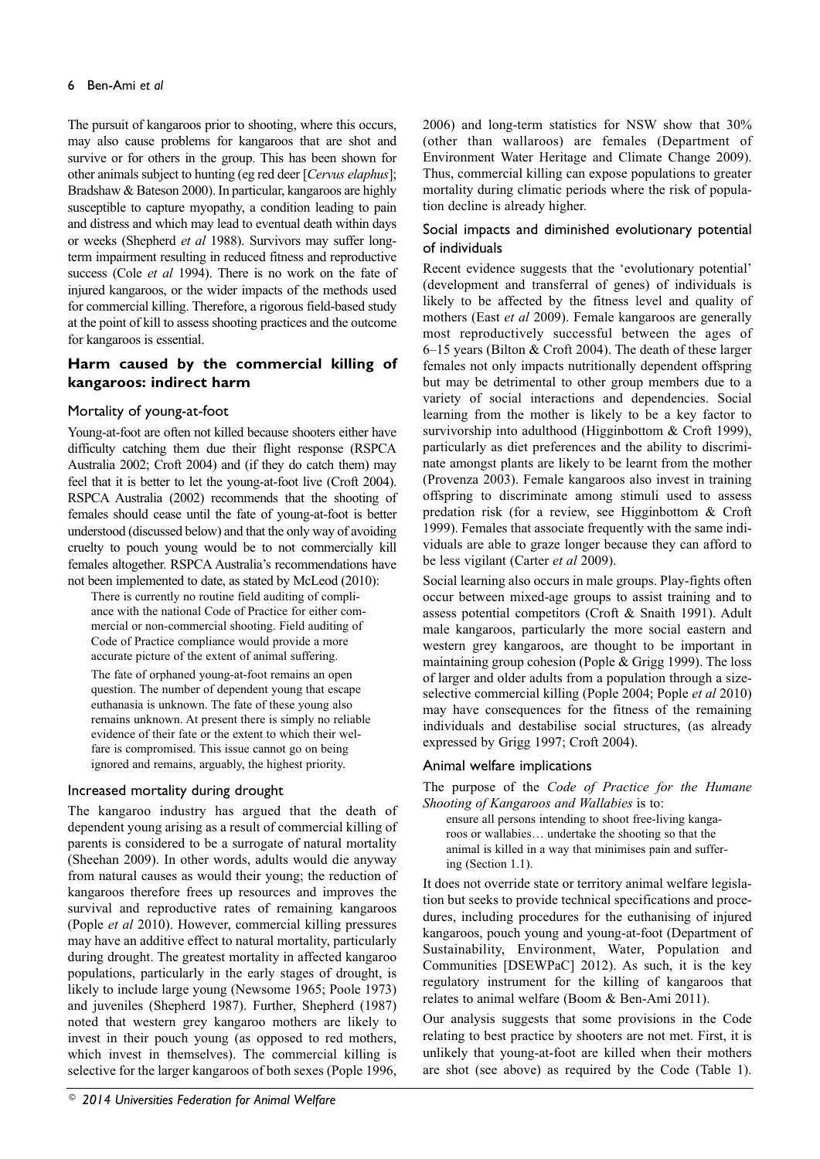#### 6 Ben-Ami *et al*

The pursuit of kangaroos prior to shooting, where this occurs, may also cause problems for kangaroos that are shot and survive or for others in the group. This has been shown for other animals subject to hunting (eg red deer [*Cervus elaphus*]; Bradshaw & Bateson 2000). In particular, kangaroos are highly susceptible to capture myopathy, a condition leading to pain and distress and which may lead to eventual death within days or weeks (Shepherd *et al* 1988). Survivors may suffer longterm impairment resulting in reduced fitness and reproductive success (Cole *et al* 1994). There is no work on the fate of injured kangaroos, or the wider impacts of the methods used for commercial killing. Therefore, a rigorous field-based study at the point of kill to assess shooting practices and the outcome for kangaroos is essential.

# **Harm caused by the commercial killing of kangaroos: indirect harm**

# Mortality of young-at-foot

Young-at-foot are often not killed because shooters either have difficulty catching them due their flight response (RSPCA Australia 2002; Croft 2004) and (if they do catch them) may feel that it is better to let the young-at-foot live (Croft 2004). RSPCA Australia (2002) recommends that the shooting of females should cease until the fate of young-at-foot is better understood (discussed below) and that the only way of avoiding cruelty to pouch young would be to not commercially kill females altogether. RSPCA Australia's recommendations have not been implemented to date, as stated by McLeod (2010):

There is currently no routine field auditing of compliance with the national Code of Practice for either commercial or non-commercial shooting. Field auditing of Code of Practice compliance would provide a more accurate picture of the extent of animal suffering.

The fate of orphaned young-at-foot remains an open question. The number of dependent young that escape euthanasia is unknown. The fate of these young also remains unknown. At present there is simply no reliable evidence of their fate or the extent to which their welfare is compromised. This issue cannot go on being ignored and remains, arguably, the highest priority.

# Increased mortality during drought

The kangaroo industry has argued that the death of dependent young arising as a result of commercial killing of parents is considered to be a surrogate of natural mortality (Sheehan 2009). In other words, adults would die anyway from natural causes as would their young; the reduction of kangaroos therefore frees up resources and improves the survival and reproductive rates of remaining kangaroos (Pople *et al* 2010). However, commercial killing pressures may have an additive effect to natural mortality, particularly during drought. The greatest mortality in affected kangaroo populations, particularly in the early stages of drought, is likely to include large young (Newsome 1965; Poole 1973) and juveniles (Shepherd 1987). Further, Shepherd (1987) noted that western grey kangaroo mothers are likely to invest in their pouch young (as opposed to red mothers, which invest in themselves). The commercial killing is selective for the larger kangaroos of both sexes (Pople 1996,

2006) and long-term statistics for NSW show that 30% (other than wallaroos) are females (Department of Environment Water Heritage and Climate Change 2009). Thus, commercial killing can expose populations to greater mortality during climatic periods where the risk of population decline is already higher.

# Social impacts and diminished evolutionary potential of individuals

Recent evidence suggests that the 'evolutionary potential' (development and transferral of genes) of individuals is likely to be affected by the fitness level and quality of mothers (East *et al* 2009). Female kangaroos are generally most reproductively successful between the ages of 6–15 years (Bilton & Croft 2004). The death of these larger females not only impacts nutritionally dependent offspring but may be detrimental to other group members due to a variety of social interactions and dependencies. Social learning from the mother is likely to be a key factor to survivorship into adulthood (Higginbottom & Croft 1999), particularly as diet preferences and the ability to discriminate amongst plants are likely to be learnt from the mother (Provenza 2003). Female kangaroos also invest in training offspring to discriminate among stimuli used to assess predation risk (for a review, see Higginbottom & Croft 1999). Females that associate frequently with the same individuals are able to graze longer because they can afford to be less vigilant (Carter *et al* 2009).

Social learning also occurs in male groups. Play-fights often occur between mixed-age groups to assist training and to assess potential competitors (Croft & Snaith 1991). Adult male kangaroos, particularly the more social eastern and western grey kangaroos, are thought to be important in maintaining group cohesion (Pople & Grigg 1999). The loss of larger and older adults from a population through a sizeselective commercial killing (Pople 2004; Pople *et al* 2010) may have consequences for the fitness of the remaining individuals and destabilise social structures, (as already expressed by Grigg 1997; Croft 2004).

# Animal welfare implications

The purpose of the *Code of Practice for the Humane Shooting of Kangaroos and Wallabies* is to:

ensure all persons intending to shoot free-living kangaroos or wallabies… undertake the shooting so that the animal is killed in a way that minimises pain and suffering (Section 1.1).

It does not override state or territory animal welfare legislation but seeks to provide technical specifications and procedures, including procedures for the euthanising of injured kangaroos, pouch young and young-at-foot (Department of Sustainability, Environment, Water, Population and Communities [DSEWPaC] 2012). As such, it is the key regulatory instrument for the killing of kangaroos that relates to animal welfare (Boom & Ben-Ami 2011).

Our analysis suggests that some provisions in the Code relating to best practice by shooters are not met. First, it is unlikely that young-at-foot are killed when their mothers are shot (see above) as required by the Code (Table 1).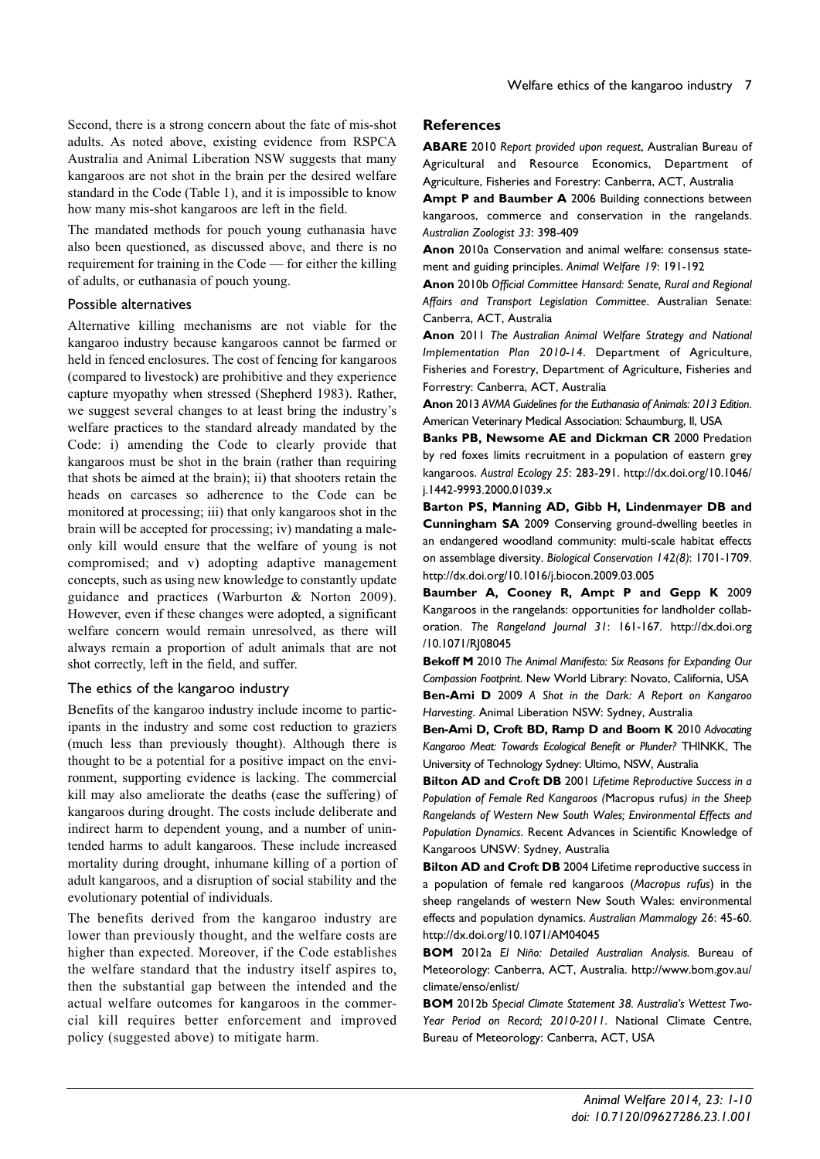Second, there is a strong concern about the fate of mis-shot adults. As noted above, existing evidence from RSPCA Australia and Animal Liberation NSW suggests that many kangaroos are not shot in the brain per the desired welfare standard in the Code (Table 1), and it is impossible to know how many mis-shot kangaroos are left in the field.

The mandated methods for pouch young euthanasia have also been questioned, as discussed above, and there is no requirement for training in the Code — for either the killing of adults, or euthanasia of pouch young.

#### Possible alternatives

Alternative killing mechanisms are not viable for the kangaroo industry because kangaroos cannot be farmed or held in fenced enclosures. The cost of fencing for kangaroos (compared to livestock) are prohibitive and they experience capture myopathy when stressed (Shepherd 1983). Rather, we suggest several changes to at least bring the industry's welfare practices to the standard already mandated by the Code: i) amending the Code to clearly provide that kangaroos must be shot in the brain (rather than requiring that shots be aimed at the brain); ii) that shooters retain the heads on carcases so adherence to the Code can be monitored at processing; iii) that only kangaroos shot in the brain will be accepted for processing; iv) mandating a maleonly kill would ensure that the welfare of young is not compromised; and v) adopting adaptive management concepts, such as using new knowledge to constantly update guidance and practices (Warburton & Norton 2009). However, even if these changes were adopted, a significant welfare concern would remain unresolved, as there will always remain a proportion of adult animals that are not shot correctly, left in the field, and suffer.

#### The ethics of the kangaroo industry

Benefits of the kangaroo industry include income to participants in the industry and some cost reduction to graziers (much less than previously thought). Although there is thought to be a potential for a positive impact on the environment, supporting evidence is lacking. The commercial kill may also ameliorate the deaths (ease the suffering) of kangaroos during drought. The costs include deliberate and indirect harm to dependent young, and a number of unintended harms to adult kangaroos. These include increased mortality during drought, inhumane killing of a portion of adult kangaroos, and a disruption of social stability and the evolutionary potential of individuals.

The benefits derived from the kangaroo industry are lower than previously thought, and the welfare costs are higher than expected. Moreover, if the Code establishes the welfare standard that the industry itself aspires to, then the substantial gap between the intended and the actual welfare outcomes for kangaroos in the commercial kill requires better enforcement and improved policy (suggested above) to mitigate harm.

#### **References**

**ABARE** 2010 *Report provided upon request*, Australian Bureau of Agricultural and Resource Economics, Department of Agriculture, Fisheries and Forestry: Canberra, ACT, Australia

**Ampt P and Baumber A** 2006 Building connections between kangaroos, commerce and conservation in the rangelands. *Australian Zoologist 33*: 398-409

**Anon** 2010a Conservation and animal welfare: consensus statement and guiding principles. *Animal Welfare 19*: 191-192

**Anon** 2010b *Official Committee Hansard: Senate, Rural and Regional Affairs and Transport Legislation Committee*. Australian Senate: Canberra, ACT, Australia

**Anon** 2011 *The Australian Animal Welfare Strategy and National Implementation Plan 2010-14*. Department of Agriculture, Fisheries and Forestry, Department of Agriculture, Fisheries and Forrestry: Canberra, ACT, Australia

**Anon** 2013 *AVMA Guidelines for the Euthanasia of Animals: 2013 Edition*. American Veterinary Medical Association: Schaumburg, Il, USA

**Banks PB, Newsome AE and Dickman CR** 2000 Predation by red foxes limits recruitment in a population of eastern grey kangaroos. *Austral Ecology 25*: 283-291. http://dx.doi.org/10.1046/ j.1442-9993.2000.01039.x

**Barton PS, Manning AD, Gibb H, Lindenmayer DB and Cunningham SA** 2009 Conserving ground-dwelling beetles in an endangered woodland community: multi-scale habitat effects on assemblage diversity. *Biological Conservation 142(8)*: 1701-1709. http://dx.doi.org/10.1016/j.biocon.2009.03.005

**Baumber A, Cooney R, Ampt P and Gepp K** 2009 Kangaroos in the rangelands: opportunities for landholder collaboration. *The Rangeland Journal 31*: 161-167. http://dx.doi.org /10.1071/RJ08045

**Bekoff M** 2010 *The Animal Manifesto: Six Reasons for Expanding Our Compassion Footprint*. New World Library: Novato, California, USA **Ben-Ami D** 2009 *A Shot in the Dark: A Report on Kangaroo Harvesting*. Animal Liberation NSW: Sydney, Australia

**Ben-Ami D, Croft BD, Ramp D and Boom K** 2010 *Advocating Kangaroo Meat: Towards Ecological Benefit or Plunder?* THINKK, The University of Technology Sydney: Ultimo, NSW, Australia

**Bilton AD and Croft DB** 2001 *Lifetime Reproductive Success in a Population of Female Red Kangaroos (*Macropus rufus*) in the Sheep Rangelands of Western New South Wales; Environmental Effects and Population Dynamics*. Recent Advances in Scientific Knowledge of Kangaroos UNSW: Sydney, Australia

**Bilton AD and Croft DB** 2004 Lifetime reproductive success in a population of female red kangaroos (*Macropus rufus*) in the sheep rangelands of western New South Wales: environmental effects and population dynamics. *Australian Mammalogy 26*: 45-60. http://dx.doi.org/10.1071/AM04045

**BOM** 2012a *El Niño: Detailed Australian Analysis.* Bureau of Meteorology: Canberra, ACT, Australia. http://www.bom.gov.au/ climate/enso/enlist/

**BOM** 2012b *Special Climate Statement 38. Australia's Wettest Two-Year Period on Record; 2010-2011*. National Climate Centre, Bureau of Meteorology: Canberra, ACT, USA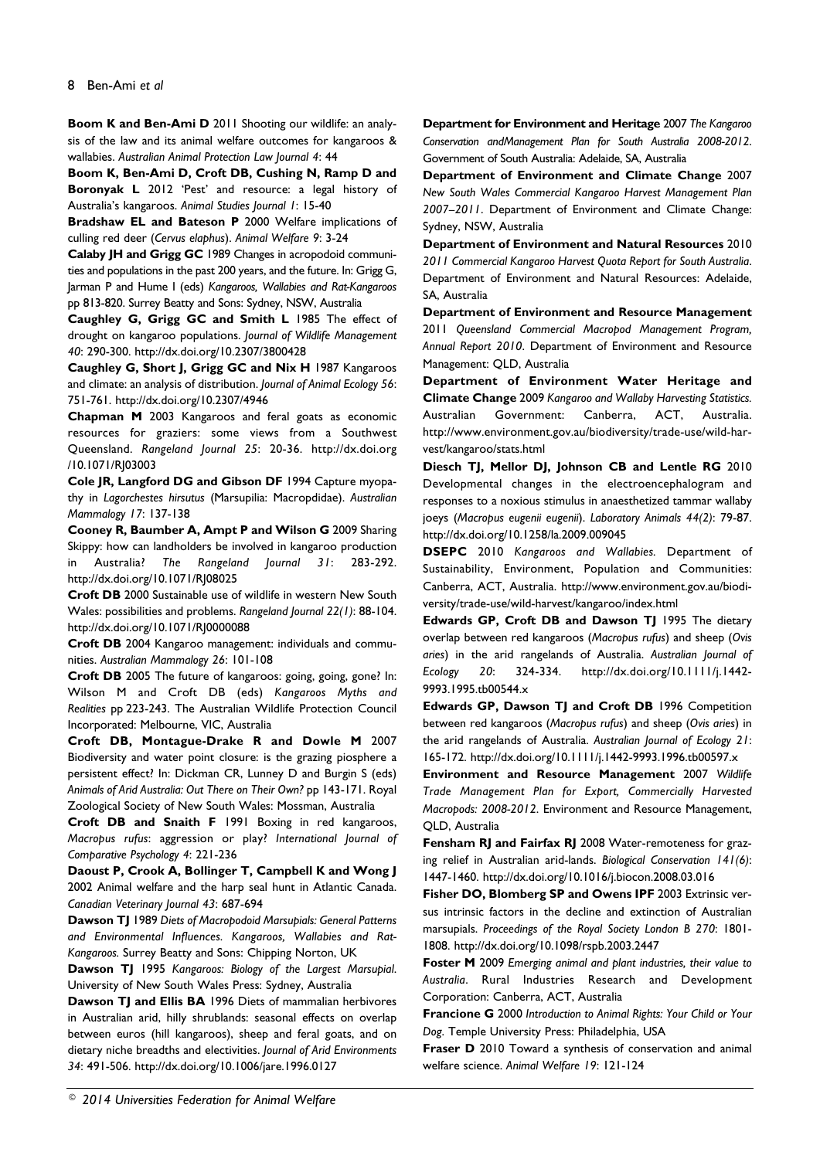#### 8 Ben-Ami *et al*

**Boom K and Ben-Ami D** 2011 Shooting our wildlife: an analysis of the law and its animal welfare outcomes for kangaroos & wallabies. *Australian Animal Protection Law Journal 4*: 44

**Boom K, Ben-Ami D, Croft DB, Cushing N, Ramp D and Boronyak L** 2012 'Pest' and resource: a legal history of Australia's kangaroos. *Animal Studies Journal 1*: 15-40

**Bradshaw EL and Bateson P** 2000 Welfare implications of culling red deer (*Cervus elaphus*). *Animal Welfare 9*: 3-24

**Calaby JH and Grigg GC** 1989 Changes in acropodoid communities and populations in the past 200 years, and the future. In: Grigg G, Jarman P and Hume I (eds) *Kangaroos, Wallabies and Rat-Kangaroos* pp 813-820. Surrey Beatty and Sons: Sydney, NSW, Australia

**Caughley G, Grigg GC and Smith L** 1985 The effect of drought on kangaroo populations. *Journal of Wildlife Management 40*: 290-300. http://dx.doi.org/10.2307/3800428

**Caughley G, Short J, Grigg GC and Nix H** 1987 Kangaroos and climate: an analysis of distribution. *Journal of Animal Ecology 56*: 751-761. http://dx.doi.org/10.2307/4946

**Chapman M** 2003 Kangaroos and feral goats as economic resources for graziers: some views from a Southwest Queensland. *Rangeland Journal 25*: 20-36. http://dx.doi.org /10.1071/RJ03003

**Cole JR, Langford DG and Gibson DF** 1994 Capture myopathy in *Lagorchestes hirsutus* (Marsupilia: Macropdidae). *Australian Mammalogy 17*: 137-138

**Cooney R, Baumber A, Ampt P and Wilson G** 2009 Sharing Skippy: how can landholders be involved in kangaroo production in Australia? *The Rangeland Journal 31*: 283-292. http://dx.doi.org/10.1071/RJ08025

**Croft DB** 2000 Sustainable use of wildlife in western New South Wales: possibilities and problems. *Rangeland Journal 22(1)*: 88-104. http://dx.doi.org/10.1071/RJ0000088

**Croft DB** 2004 Kangaroo management: individuals and communities. *Australian Mammalogy 26*: 101-108

**Croft DB** 2005 The future of kangaroos: going, going, gone? In: Wilson M and Croft DB (eds) *Kangaroos Myths and Realities* pp 223-243. The Australian Wildlife Protection Council Incorporated: Melbourne, VIC, Australia

**Croft DB, Montague-Drake R and Dowle M** 2007 Biodiversity and water point closure: is the grazing piosphere a persistent effect? In: Dickman CR, Lunney D and Burgin S (eds) *Animals of Arid Australia: Out There on Their Own?* pp 143-171. Royal Zoological Society of New South Wales: Mossman, Australia

**Croft DB and Snaith F** 1991 Boxing in red kangaroos, *Macropus rufus*: aggression or play? *International Journal of Comparative Psychology 4*: 221-236

**Daoust P, Crook A, Bollinger T, Campbell K and Wong J** 2002 Animal welfare and the harp seal hunt in Atlantic Canada. *Canadian Veterinary Journal 43*: 687-694

**Dawson TJ** 1989 *Diets of Macropodoid Marsupials: General Patterns and Environmental Influences. Kangaroos, Wallabies and Rat-Kangaroos.* Surrey Beatty and Sons: Chipping Norton, UK

**Dawson TJ** 1995 *Kangaroos: Biology of the Largest Marsupial*. University of New South Wales Press: Sydney, Australia

**Dawson TJ and Ellis BA** 1996 Diets of mammalian herbivores in Australian arid, hilly shrublands: seasonal effects on overlap between euros (hill kangaroos), sheep and feral goats, and on dietary niche breadths and electivities. *Journal of Arid Environments 34*: 491-506. http://dx.doi.org/10.1006/jare.1996.0127

**Department for Environment and Heritage** 2007 *The Kangaroo Conservation andManagement Plan for South Australia 2008-2012*. Government of South Australia: Adelaide, SA, Australia

**Department of Environment and Climate Change** 2007 *New South Wales Commercial Kangaroo Harvest Management Plan 2007–2011*. Department of Environment and Climate Change: Sydney, NSW, Australia

**Department of Environment and Natural Resources** 2010 *2011 Commercial Kangaroo Harvest Quota Report for South Australia*. Department of Environment and Natural Resources: Adelaide, SA, Australia

**Department of Environment and Resource Management** 2011 *Queensland Commercial Macropod Management Program, Annual Report 2010*. Department of Environment and Resource Management: QLD, Australia

**Department of Environment Water Heritage and Climate Change** 2009 *Kangaroo and Wallaby Harvesting Statistics.* Australian Government: Canberra, ACT, Australia. http://www.environment.gov.au/biodiversity/trade-use/wild-harvest/kangaroo/stats.html

**Diesch TJ, Mellor DJ, Johnson CB and Lentle RG** 2010 Developmental changes in the electroencephalogram and responses to a noxious stimulus in anaesthetized tammar wallaby joeys (*Macropus eugenii eugenii*). *Laboratory Animals 44(2)*: 79-87. http://dx.doi.org/10.1258/la.2009.009045

**DSEPC** 2010 *Kangaroos and Wallabies.* Department of Sustainability, Environment, Population and Communities: Canberra, ACT, Australia. http://www.environment.gov.au/biodiversity/trade-use/wild-harvest/kangaroo/index.html

**Edwards GP, Croft DB and Dawson TJ** 1995 The dietary overlap between red kangaroos (*Macropus rufus*) and sheep (*Ovis aries*) in the arid rangelands of Australia. *Australian Journal of Ecology 20*: 324-334. http://dx.doi.org/10.1111/j.1442- 9993.1995.tb00544.x

**Edwards GP, Dawson TJ and Croft DB** 1996 Competition between red kangaroos (*Macropus rufus*) and sheep (*Ovis aries*) in the arid rangelands of Australia. *Australian Journal of Ecology 21*: 165-172. http://dx.doi.org/10.1111/j.1442-9993.1996.tb00597.x

**Environment and Resource Management** 2007 *Wildlife Trade Management Plan for Export, Commercially Harvested Macropods: 2008-2012*. Environment and Resource Management, QLD, Australia

**Fensham RJ and Fairfax RJ** 2008 Water-remoteness for grazing relief in Australian arid-lands. *Biological Conservation 141(6)*: 1447-1460. http://dx.doi.org/10.1016/j.biocon.2008.03.016

**Fisher DO, Blomberg SP and Owens IPF** 2003 Extrinsic versus intrinsic factors in the decline and extinction of Australian marsupials. *Proceedings of the Royal Society London B 270*: 1801- 1808. http://dx.doi.org/10.1098/rspb.2003.2447

**Foster M** 2009 *Emerging animal and plant industries, their value to Australia*. Rural Industries Research and Development Corporation: Canberra, ACT, Australia

**Francione G** 2000 *Introduction to Animal Rights: Your Child or Your Dog*. Temple University Press: Philadelphia, USA

**Fraser D** 2010 Toward a synthesis of conservation and animal welfare science. *Animal Welfare 19*: 121-124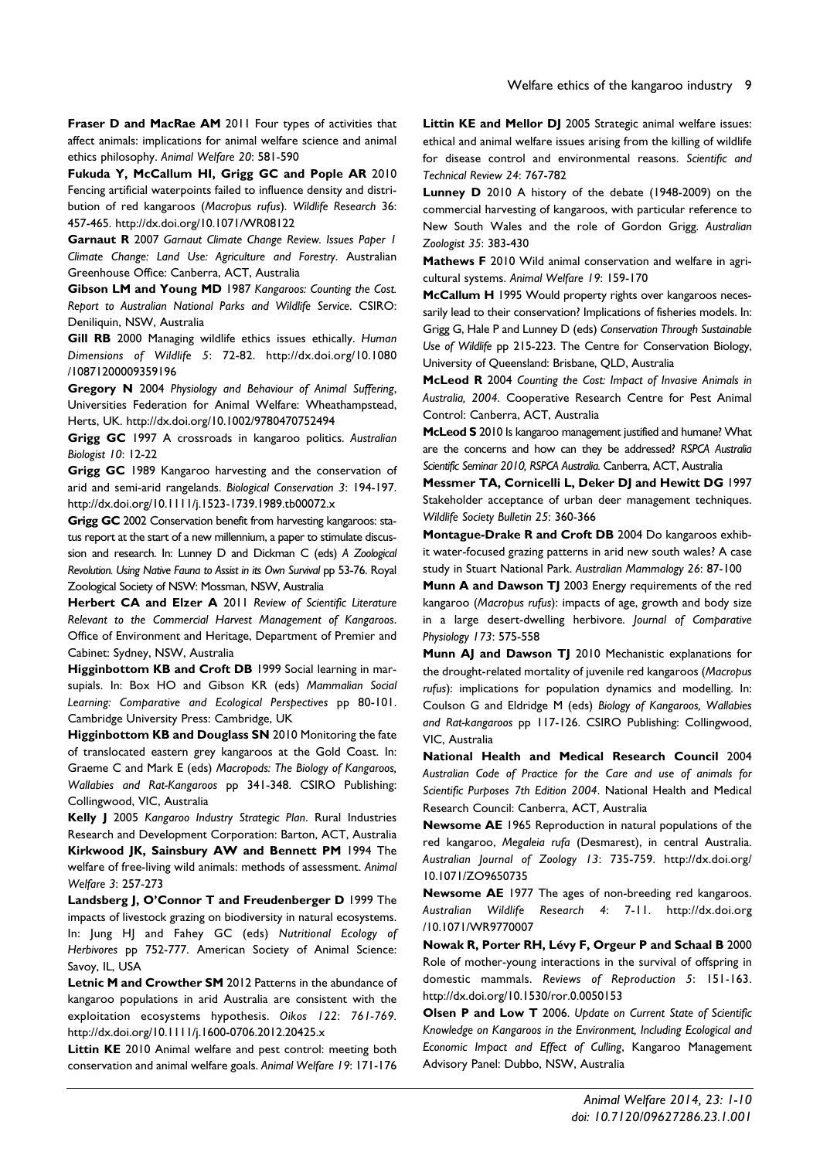**Fraser D and MacRae AM** 2011 Four types of activities that affect animals: implications for animal welfare science and animal ethics philosophy. *Animal Welfare 20*: 581-590

**Fukuda Y, McCallum HI, Grigg GC and Pople AR** 2010 Fencing artificial waterpoints failed to influence density and distribution of red kangaroos (*Macropus rufus*). *Wildlife Research* 36: 457-465. http://dx.doi.org/10.1071/WR08122

**Garnaut R** 2007 *Garnaut Climate Change Review. Issues Paper 1 Climate Change: Land Use: Agriculture and Forestry*. Australian Greenhouse Office: Canberra, ACT, Australia

**Gibson LM and Young MD** 1987 *Kangaroos: Counting the Cost. Report to Australian National Parks and Wildlife Service*. CSIRO: Deniliquin, NSW, Australia

**Gill RB** 2000 Managing wildlife ethics issues ethically. *Human Dimensions of Wildlife 5*: 72-82. http://dx.doi.org/10.1080 /10871200009359196

**Gregory N** 2004 *Physiology and Behaviour of Animal Suffering*, Universities Federation for Animal Welfare: Wheathampstead, Herts, UK. http://dx.doi.org/10.1002/9780470752494

**Grigg GC** 1997 A crossroads in kangaroo politics. *Australian Biologist 10*: 12-22

**Grigg GC** 1989 Kangaroo harvesting and the conservation of arid and semi-arid rangelands. *Biological Conservation 3*: 194-197. http://dx.doi.org/10.1111/j.1523-1739.1989.tb00072.x

**Grigg GC** 2002 Conservation benefit from harvesting kangaroos: status report at the start of a new millennium, a paper to stimulate discussion and research. In: Lunney D and Dickman C (eds) *A Zoological Revolution. Using Native Fauna to Assist in its Own Survival* pp 53-76. Royal Zoological Society of NSW: Mossman, NSW, Australia

**Herbert CA and Elzer A** 2011 *Review of Scientific Literature Relevant to the Commercial Harvest Management of Kangaroos*. Office of Environment and Heritage, Department of Premier and Cabinet: Sydney, NSW, Australia

**Higginbottom KB and Croft DB** 1999 Social learning in marsupials. In: Box HO and Gibson KR (eds) *Mammalian Social Learning: Comparative and Ecological Perspectives* pp 80-101. Cambridge University Press: Cambridge, UK

**Higginbottom KB and Douglass SN** 2010 Monitoring the fate of translocated eastern grey kangaroos at the Gold Coast. In: Graeme C and Mark E (eds) *Macropods: The Biology of Kangaroos, Wallabies and Rat-Kangaroos* pp 341-348. CSIRO Publishing: Collingwood, VIC, Australia

**Kelly J** 2005 *Kangaroo Industry Strategic Plan*. Rural Industries Research and Development Corporation: Barton, ACT, Australia **Kirkwood JK, Sainsbury AW and Bennett PM** 1994 The welfare of free-living wild animals: methods of assessment. *Animal Welfare 3*: 257-273

**Landsberg J, O'Connor T and Freudenberger D** 1999 The impacts of livestock grazing on biodiversity in natural ecosystems. In: Jung HJ and Fahey GC (eds) *Nutritional Ecology of Herbivores* pp 752-777. American Society of Animal Science: Savoy, IL, USA

**Letnic M and Crowther SM** 2012 Patterns in the abundance of kangaroo populations in arid Australia are consistent with the exploitation ecosystems hypothesis. *Oikos 122*: *761-769.* http://dx.doi.org/10.1111/j.1600-0706.2012.20425.x

Littin KE 2010 Animal welfare and pest control: meeting both conservation and animal welfare goals. *Animal Welfare 19*: 171-176

**Littin KE and Mellor DJ** 2005 Strategic animal welfare issues: ethical and animal welfare issues arising from the killing of wildlife for disease control and environmental reasons. *Scientific and Technical Review 24*: 767-782

**Lunney D** 2010 A history of the debate (1948-2009) on the commercial harvesting of kangaroos, with particular reference to New South Wales and the role of Gordon Grigg. *Australian Zoologist 35*: 383-430

**Mathews F** 2010 Wild animal conservation and welfare in agricultural systems. *Animal Welfare 19*: 159-170

**McCallum H** 1995 Would property rights over kangaroos necessarily lead to their conservation? Implications of fisheries models. In: Grigg G, Hale P and Lunney D (eds) *Conservation Through Sustainable Use of Wildlife* pp 215-223. The Centre for Conservation Biology, University of Queensland: Brisbane, QLD, Australia

**McLeod R** 2004 *Counting the Cost: Impact of Invasive Animals in Australia, 2004*. Cooperative Research Centre for Pest Animal Control: Canberra, ACT, Australia

**McLeod S** 2010 Is kangaroo management justified and humane? What are the concerns and how can they be addressed? *RSPCA Australia Scientific Seminar 2010, RSPCA Australia.* Canberra, ACT, Australia

**Messmer TA, Cornicelli L, Deker DJ and Hewitt DG** 1997 Stakeholder acceptance of urban deer management techniques. *Wildlife Society Bulletin 25*: 360-366

**Montague-Drake R and Croft DB** 2004 Do kangaroos exhibit water-focused grazing patterns in arid new south wales? A case study in Stuart National Park. *Australian Mammalogy 26*: 87-100

**Munn A and Dawson TJ** 2003 Energy requirements of the red kangaroo (*Macropus rufus*): impacts of age, growth and body size in a large desert-dwelling herbivore. *Journal of Comparative Physiology 173*: 575-558

**Munn AJ and Dawson TJ** 2010 Mechanistic explanations for the drought-related mortality of juvenile red kangaroos (*Macropus rufus*): implications for population dynamics and modelling. In: Coulson G and Eldridge M (eds) *Biology of Kangaroos, Wallabies and Rat-kangaroos* pp 117-126. CSIRO Publishing: Collingwood, VIC, Australia

**National Health and Medical Research Council** 2004 *Australian Code of Practice for the Care and use of animals for Scientific Purposes 7th Edition 2004*. National Health and Medical Research Council: Canberra, ACT, Australia

**Newsome AE** 1965 Reproduction in natural populations of the red kangaroo, *Megaleia rufa* (Desmarest), in central Australia. *Australian Journal of Zoology 13*: 735-759. http://dx.doi.org/ 10.1071/ZO9650735

**Newsome AE** 1977 The ages of non-breeding red kangaroos. *Australian Wildlife Research 4*: 7-11. http://dx.doi.org /10.1071/WR9770007

**Nowak R, Porter RH, Lévy F, Orgeur P and Schaal B** 2000 Role of mother-young interactions in the survival of offspring in domestic mammals. *Reviews of Reproduction 5*: 151-163. http://dx.doi.org/10.1530/ror.0.0050153

**Olsen P and Low T** 2006. *Update on Current State of Scientific Knowledge on Kangaroos in the Environment, Including Ecological and Economic Impact and Effect of Culling*, Kangaroo Management Advisory Panel: Dubbo, NSW, Australia